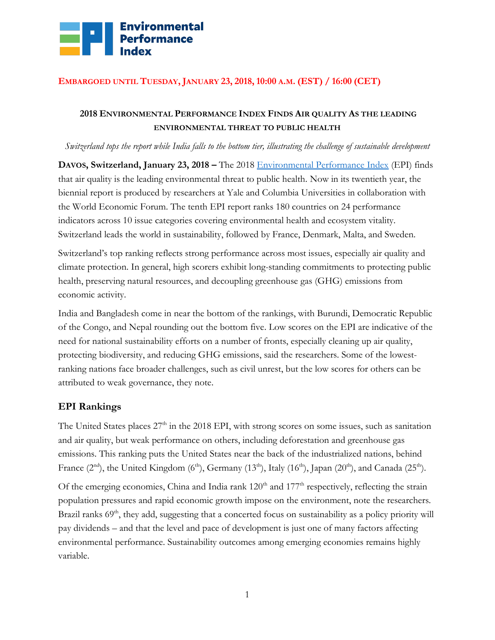

#### **EMBARGOED UNTIL TUESDAY, JANUARY 23, 2018, 10:00 A.M. (EST) / 16:00 (CET)**

### **2018 ENVIRONMENTAL PERFORMANCE INDEX FINDS AIR QUALITY AS THE LEADING ENVIRONMENTAL THREAT TO PUBLIC HEALTH**

#### *Switzerland tops the report while India falls to the bottom tier, illustrating the challenge of sustainable development*

**DAVOS, Switzerland, January 23, 2018 –** The 2018 [Environmental Performance Index](http://epi.yale.edu/) (EPI) finds that air quality is the leading environmental threat to public health. Now in its twentieth year, the biennial report is produced by researchers at Yale and Columbia Universities in collaboration with the World Economic Forum. The tenth EPI report ranks 180 countries on 24 performance indicators across 10 issue categories covering environmental health and ecosystem vitality. Switzerland leads the world in sustainability, followed by France, Denmark, Malta, and Sweden.

Switzerland's top ranking reflects strong performance across most issues, especially air quality and climate protection. In general, high scorers exhibit long-standing commitments to protecting public health, preserving natural resources, and decoupling greenhouse gas (GHG) emissions from economic activity.

India and Bangladesh come in near the bottom of the rankings, with Burundi, Democratic Republic of the Congo, and Nepal rounding out the bottom five. Low scores on the EPI are indicative of the need for national sustainability efforts on a number of fronts, especially cleaning up air quality, protecting biodiversity, and reducing GHG emissions, said the researchers. Some of the lowestranking nations face broader challenges, such as civil unrest, but the low scores for others can be attributed to weak governance, they note.

#### **EPI Rankings**

The United States places  $27<sup>th</sup>$  in the 2018 EPI, with strong scores on some issues, such as sanitation and air quality, but weak performance on others, including deforestation and greenhouse gas emissions. This ranking puts the United States near the back of the industrialized nations, behind France  $(2^{nd})$ , the United Kingdom  $(6^{th})$ , Germany  $(13^{th})$ , Italy  $(16^{th})$ , Japan  $(20^{th})$ , and Canada  $(25^{th})$ .

Of the emerging economies, China and India rank  $120<sup>th</sup>$  and  $177<sup>th</sup>$  respectively, reflecting the strain population pressures and rapid economic growth impose on the environment, note the researchers. Brazil ranks  $69<sup>th</sup>$ , they add, suggesting that a concerted focus on sustainability as a policy priority will pay dividends – and that the level and pace of development is just one of many factors affecting environmental performance. Sustainability outcomes among emerging economies remains highly variable.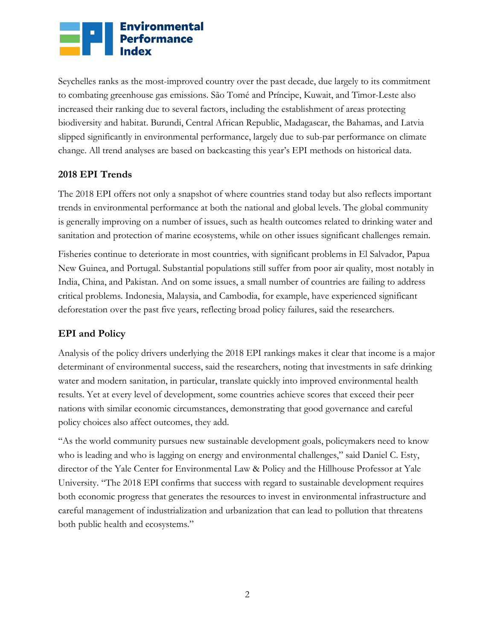# **Environmental**<br>**Proformance**<br>**Proformance**

Seychelles ranks as the most-improved country over the past decade, due largely to its commitment to combating greenhouse gas emissions. São Tomé and Príncipe, Kuwait, and Timor-Leste also increased their ranking due to several factors, including the establishment of areas protecting biodiversity and habitat. Burundi, Central African Republic, Madagascar, the Bahamas, and Latvia slipped significantly in environmental performance, largely due to sub-par performance on climate change. All trend analyses are based on backcasting this year's EPI methods on historical data.

# **2018 EPI Trends**

The 2018 EPI offers not only a snapshot of where countries stand today but also reflects important trends in environmental performance at both the national and global levels. The global community is generally improving on a number of issues, such as health outcomes related to drinking water and sanitation and protection of marine ecosystems, while on other issues significant challenges remain.

Fisheries continue to deteriorate in most countries, with significant problems in El Salvador, Papua New Guinea, and Portugal. Substantial populations still suffer from poor air quality, most notably in India, China, and Pakistan. And on some issues, a small number of countries are failing to address critical problems. Indonesia, Malaysia, and Cambodia, for example, have experienced significant deforestation over the past five years, reflecting broad policy failures, said the researchers.

# **EPI and Policy**

Analysis of the policy drivers underlying the 2018 EPI rankings makes it clear that income is a major determinant of environmental success, said the researchers, noting that investments in safe drinking water and modern sanitation, in particular, translate quickly into improved environmental health results. Yet at every level of development, some countries achieve scores that exceed their peer nations with similar economic circumstances, demonstrating that good governance and careful policy choices also affect outcomes, they add.

"As the world community pursues new sustainable development goals, policymakers need to know who is leading and who is lagging on energy and environmental challenges," said Daniel C. Esty, director of the Yale Center for Environmental Law & Policy and the Hillhouse Professor at Yale University. "The 2018 EPI confirms that success with regard to sustainable development requires both economic progress that generates the resources to invest in environmental infrastructure and careful management of industrialization and urbanization that can lead to pollution that threatens both public health and ecosystems."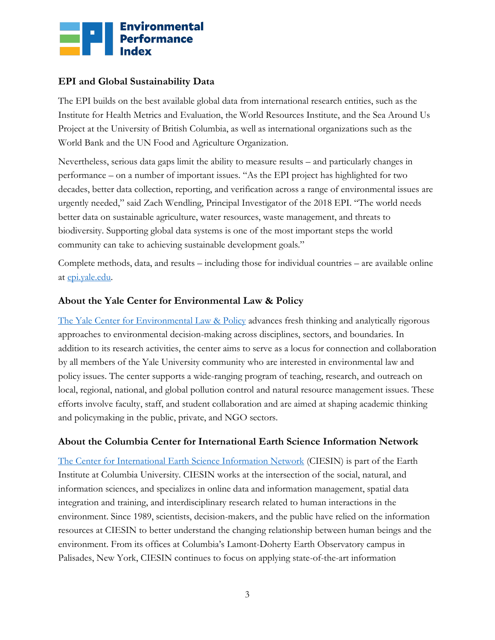

#### **EPI and Global Sustainability Data**

The EPI builds on the best available global data from international research entities, such as the Institute for Health Metrics and Evaluation, the World Resources Institute, and the Sea Around Us Project at the University of British Columbia, as well as international organizations such as the World Bank and the UN Food and Agriculture Organization.

Nevertheless, serious data gaps limit the ability to measure results – and particularly changes in performance – on a number of important issues. "As the EPI project has highlighted for two decades, better data collection, reporting, and verification across a range of environmental issues are urgently needed," said Zach Wendling, Principal Investigator of the 2018 EPI. "The world needs better data on sustainable agriculture, water resources, waste management, and threats to biodiversity. Supporting global data systems is one of the most important steps the world community can take to achieving sustainable development goals."

Complete methods, data, and results – including those for individual countries – are available online at [epi.yale.edu.](file:///C:/Users/Zach%20Wendling/Box%20Sync/EPI2018/Comms/epi.yale.edu)

#### **About the Yale Center for Environmental Law & Policy**

[The Yale Center for Environmental Law & Policy](https://envirocenter.yale.edu/) advances fresh thinking and analytically rigorous approaches to environmental decision-making across disciplines, sectors, and boundaries. In addition to its research activities, the center aims to serve as a locus for connection and collaboration by all members of the Yale University community who are interested in environmental law and policy issues. The center supports a wide-ranging program of teaching, research, and outreach on local, regional, national, and global pollution control and natural resource management issues. These efforts involve faculty, staff, and student collaboration and are aimed at shaping academic thinking and policymaking in the public, private, and NGO sectors.

#### **About the Columbia Center for International Earth Science Information Network**

[The Center for International Earth Science Information Network](http://ciesin.org/) (CIESIN) is part of the Earth Institute at Columbia University. CIESIN works at the intersection of the social, natural, and information sciences, and specializes in online data and information management, spatial data integration and training, and interdisciplinary research related to human interactions in the environment. Since 1989, scientists, decision-makers, and the public have relied on the information resources at CIESIN to better understand the changing relationship between human beings and the environment. From its offices at Columbia's Lamont-Doherty Earth Observatory campus in Palisades, New York, CIESIN continues to focus on applying state-of-the-art information